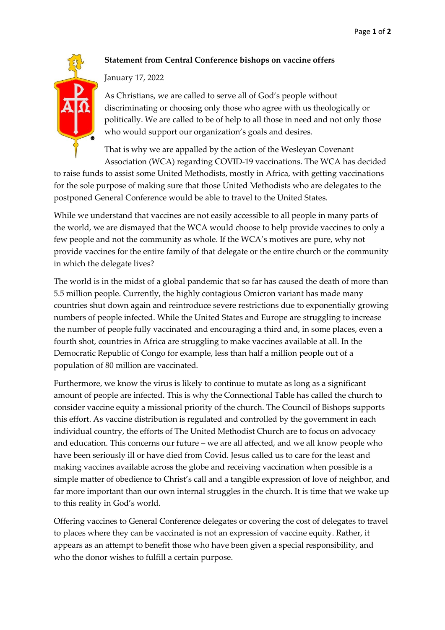## **Statement from Central Conference bishops on vaccine offers**

January 17, 2022

As Christians, we are called to serve all of God's people without discriminating or choosing only those who agree with us theologically or politically. We are called to be of help to all those in need and not only those who would support our organization's goals and desires.

That is why we are appalled by the action of the Wesleyan Covenant Association (WCA) regarding COVID-19 vaccinations. The WCA has decided

to raise funds to assist some United Methodists, mostly in Africa, with getting vaccinations for the sole purpose of making sure that those United Methodists who are delegates to the postponed General Conference would be able to travel to the United States.

While we understand that vaccines are not easily accessible to all people in many parts of the world, we are dismayed that the WCA would choose to help provide vaccines to only a few people and not the community as whole. If the WCA's motives are pure, why not provide vaccines for the entire family of that delegate or the entire church or the community in which the delegate lives?

The world is in the midst of a global pandemic that so far has caused the death of more than 5.5 million people. Currently, the highly contagious Omicron variant has made many countries shut down again and reintroduce severe restrictions due to exponentially growing numbers of people infected. While the United States and Europe are struggling to increase the number of people fully vaccinated and encouraging a third and, in some places, even a fourth shot, countries in Africa are struggling to make vaccines available at all. In the Democratic Republic of Congo for example, less than half a million people out of a population of 80 million are vaccinated.

Furthermore, we know the virus is likely to continue to mutate as long as a significant amount of people are infected. This is why the Connectional Table has called the church to consider vaccine equity a missional priority of the church. The Council of Bishops supports this effort. As vaccine distribution is regulated and controlled by the government in each individual country, the efforts of The United Methodist Church are to focus on advocacy and education. This concerns our future – we are all affected, and we all know people who have been seriously ill or have died from Covid. Jesus called us to care for the least and making vaccines available across the globe and receiving vaccination when possible is a simple matter of obedience to Christ's call and a tangible expression of love of neighbor, and far more important than our own internal struggles in the church. It is time that we wake up to this reality in God's world.

Offering vaccines to General Conference delegates or covering the cost of delegates to travel to places where they can be vaccinated is not an expression of vaccine equity. Rather, it appears as an attempt to benefit those who have been given a special responsibility, and who the donor wishes to fulfill a certain purpose.